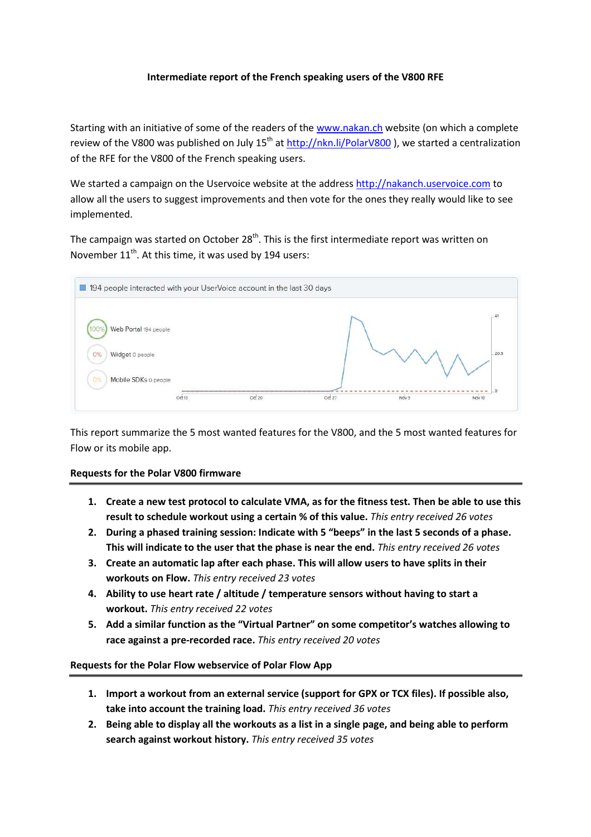## **Intermediate report of the French speaking users of the V800 RFE**

Starting with an initiative of some of the readers of the www.nakan.ch website (on which a complete review of the V800 was published on July  $15^{th}$  at http://nkn.li/PolarV800), we started a centralization of the RFE for the V800 of the French speaking users.

We started a campaign on the Uservoice website at the address http://nakanch.uservoice.com to allow all the users to suggest improvements and then vote for the ones they really would like to see implemented.

The campaign was started on October 28<sup>th</sup>. This is the first intermediate report was written on November 11<sup>th</sup>. At this time, it was used by 194 users:



This report summarize the 5 most wanted features for the V800, and the 5 most wanted features for Flow or its mobile app.

## **Requests for the Polar V800 firmware**

- **1. Create a new test protocol to calculate VMA, as for the fitness test. Then be able to use this result to schedule workout using a certain % of this value.** *This entry received 26 votes*
- **2. During a phased training session: Indicate with 5 "beeps" in the last 5 seconds of a phase. This will indicate to the user that the phase is near the end.** *This entry received 26 votes*
- **3. Create an automatic lap after each phase. This will allow users to have splits in their workouts on Flow.** *This entry received 23 votes*
- **4. Ability to use heart rate / altitude / temperature sensors without having to start a workout.** *This entry received 22 votes*
- **5. Add a similar function as the "Virtual Partner" on some competitor's watches allowing to race against a pre-recorded race.** *This entry received 20 votes*

## **Requests for the Polar Flow webservice of Polar Flow App**

- **1. Import a workout from an external service (support for GPX or TCX files). If possible also, take into account the training load.** *This entry received 36 votes*
- **2. Being able to display all the workouts as a list in a single page, and being able to perform search against workout history.** *This entry received 35 votes*